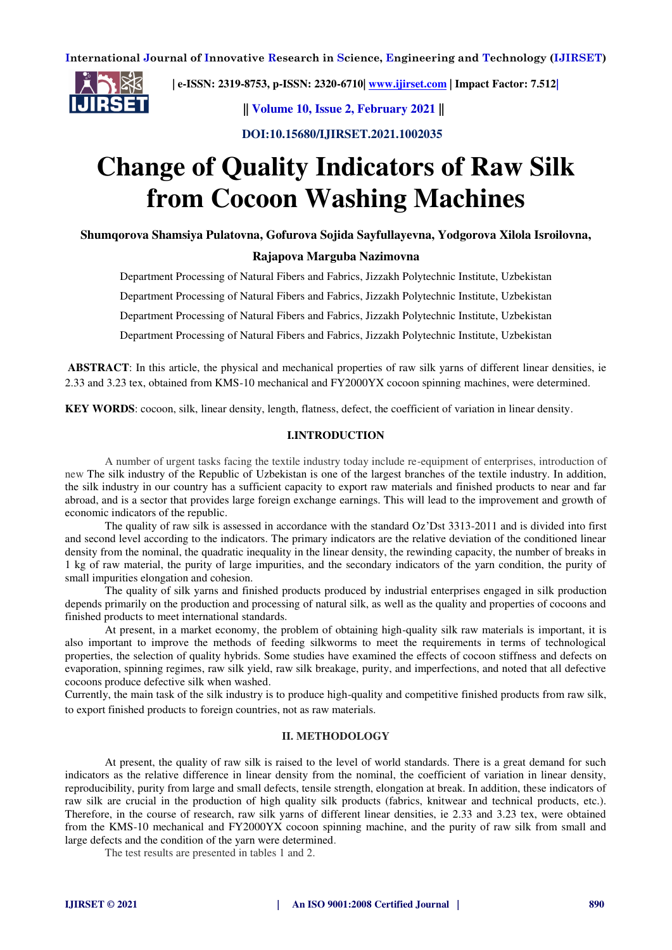

 **| e-ISSN: 2319-8753, p-ISSN: 2320-6710[| www.ijirset.com](http://www.ijirset.com/) | Impact Factor: 7.512|**

 **|| Volume 10, Issue 2, February 2021 ||**

 **DOI:10.15680/IJIRSET.2021.1002035**

# **Change of Quality Indicators of Raw Silk from Cocoon Washing Machines**

**Shumqorova Shamsiya Pulatovna, Gofurova Sojida Sayfullayevna, Yodgorova Xilola Isroilovna,** 

## **Rajapova Marguba Nazimovna**

Department Processing of Natural Fibers and Fabrics, Jizzakh Polytechnic Institute, Uzbekistan

Department Processing of Natural Fibers and Fabrics, Jizzakh Polytechnic Institute, Uzbekistan

Department Processing of Natural Fibers and Fabrics, Jizzakh Polytechnic Institute, Uzbekistan

Department Processing of Natural Fibers and Fabrics, Jizzakh Polytechnic Institute, Uzbekistan

**ABSTRACT**: In this article, the physical and mechanical properties of raw silk yarns of different linear densities, ie 2.33 and 3.23 tex, obtained from KMS-10 mechanical and FY2000YX cocoon spinning machines, were determined.

**KEY WORDS**: cocoon, silk, linear density, length, flatness, defect, the coefficient of variation in linear density.

### **I.INTRODUCTION**

A number of urgent tasks facing the textile industry today include re-equipment of enterprises, introduction of new The silk industry of the Republic of Uzbekistan is one of the largest branches of the textile industry. In addition, the silk industry in our country has a sufficient capacity to export raw materials and finished products to near and far abroad, and is a sector that provides large foreign exchange earnings. This will lead to the improvement and growth of economic indicators of the republic.

The quality of raw silk is assessed in accordance with the standard Oz'Dst 3313-2011 and is divided into first and second level according to the indicators. The primary indicators are the relative deviation of the conditioned linear density from the nominal, the quadratic inequality in the linear density, the rewinding capacity, the number of breaks in 1 kg of raw material, the purity of large impurities, and the secondary indicators of the yarn condition, the purity of small impurities elongation and cohesion.

The quality of silk yarns and finished products produced by industrial enterprises engaged in silk production depends primarily on the production and processing of natural silk, as well as the quality and properties of cocoons and finished products to meet international standards.

At present, in a market economy, the problem of obtaining high-quality silk raw materials is important, it is also important to improve the methods of feeding silkworms to meet the requirements in terms of technological properties, the selection of quality hybrids. Some studies have examined the effects of cocoon stiffness and defects on evaporation, spinning regimes, raw silk yield, raw silk breakage, purity, and imperfections, and noted that all defective cocoons produce defective silk when washed.

Currently, the main task of the silk industry is to produce high-quality and competitive finished products from raw silk, to export finished products to foreign countries, not as raw materials.

#### **II. METHODOLOGY**

At present, the quality of raw silk is raised to the level of world standards. There is a great demand for such indicators as the relative difference in linear density from the nominal, the coefficient of variation in linear density, reproducibility, purity from large and small defects, tensile strength, elongation at break. In addition, these indicators of raw silk are crucial in the production of high quality silk products (fabrics, knitwear and technical products, etc.). Therefore, in the course of research, raw silk yarns of different linear densities, ie 2.33 and 3.23 tex, were obtained from the KMS-10 mechanical and FY2000YX cocoon spinning machine, and the purity of raw silk from small and large defects and the condition of the yarn were determined.

The test results are presented in tables 1 and 2.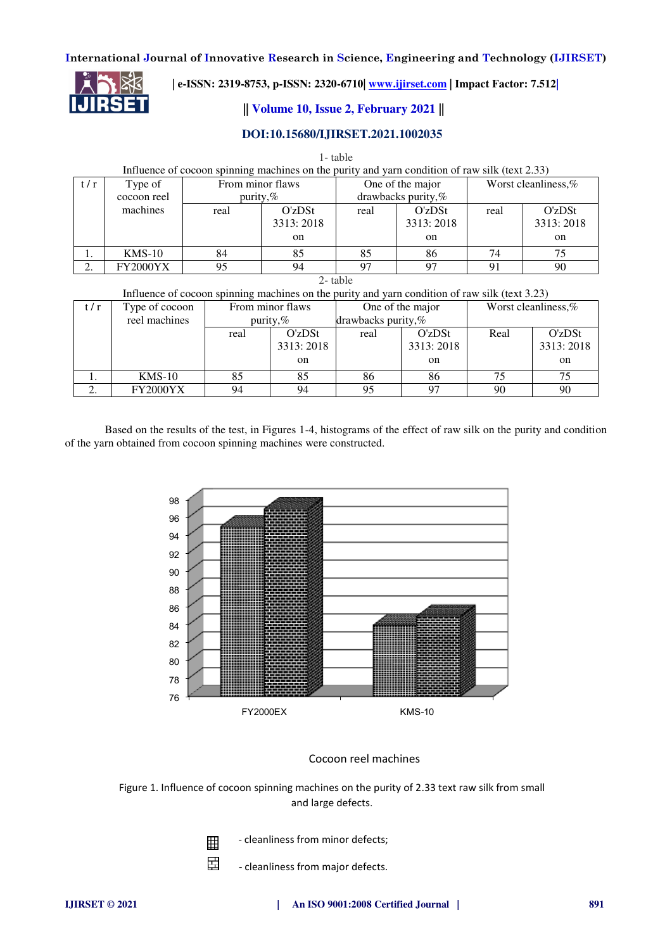

 **| e-ISSN: 2319-8753, p-ISSN: 2320-6710[| www.ijirset.com](http://www.ijirset.com/) | Impact Factor: 7.512|**

# **|| Volume 10, Issue 2, February 2021 ||**

# **DOI:10.15680/IJIRSET.2021.1002035**

| 1- table                                                                                       |                 |      |                             |      |                                 |      |                     |  |  |  |  |  |  |
|------------------------------------------------------------------------------------------------|-----------------|------|-----------------------------|------|---------------------------------|------|---------------------|--|--|--|--|--|--|
| Influence of cocoon spinning machines on the purity and yarn condition of raw silk (text 2.33) |                 |      |                             |      |                                 |      |                     |  |  |  |  |  |  |
| t/r                                                                                            | Type of         |      | From minor flaws            |      | One of the major                |      | Worst cleanliness,% |  |  |  |  |  |  |
|                                                                                                | cocoon reel     |      | purity, $%$                 |      | drawbacks purity,%              |      |                     |  |  |  |  |  |  |
|                                                                                                | machines        | real | O'zDSt                      | real | O'zDSt                          | real | O'zDSt              |  |  |  |  |  |  |
|                                                                                                |                 |      | 3313:2018                   |      | 3313:2018                       |      | 3313:2018           |  |  |  |  |  |  |
|                                                                                                |                 |      | on                          |      | <sub>on</sub>                   |      | on                  |  |  |  |  |  |  |
|                                                                                                | $KMS-10$        | 84   | 85                          | 85   | 86                              | 74   | 75                  |  |  |  |  |  |  |
| 2.                                                                                             | <b>FY2000YX</b> | 95   | 94                          | 97   | 97                              | 91   | 90                  |  |  |  |  |  |  |
| 2-table                                                                                        |                 |      |                             |      |                                 |      |                     |  |  |  |  |  |  |
| Influence of cocoon spinning machines on the purity and yarn condition of raw silk (text 3.23) |                 |      |                             |      |                                 |      |                     |  |  |  |  |  |  |
| t/r                                                                                            | Type of cocoon  |      | From minor flaws            |      | One of the major                |      | Worst cleanliness,% |  |  |  |  |  |  |
|                                                                                                | roal moghings   |      | $m_{\text{unit}} \approx 0$ |      | $d$ roughoolse numty $\theta$ . |      |                     |  |  |  |  |  |  |

| U / 1 | I ype of cocool | гтоні пінюі паму |           | One of the major      |           | WOLST CICALITIIIUSS, 70 |           |
|-------|-----------------|------------------|-----------|-----------------------|-----------|-------------------------|-----------|
|       | reel machines   | purity, $%$      |           | drawbacks purity, $%$ |           |                         |           |
|       |                 | real             | O'zDSt    | real                  | O'zDSt    | Real                    | O'zDSt    |
|       |                 |                  | 3313:2018 |                       | 3313:2018 |                         | 3313:2018 |
|       |                 |                  | on        |                       | on        |                         | on        |
|       | $KMS-10$        | 85               | 85        | 86                    | 86        |                         | 75        |
|       | <b>FY2000YX</b> | 94               | 94        | 95                    |           | 90                      | 90        |

Based on the results of the test, in Figures 1-4, histograms of the effect of raw silk on the purity and condition of the yarn obtained from cocoon spinning machines were constructed.



## Cocoon reel machines

Figure 1. Influence of cocoon spinning machines on the purity of 2.33 text raw silk from small and large defects.

囲

呂

- cleanliness from minor defects;

- cleanliness from major defects.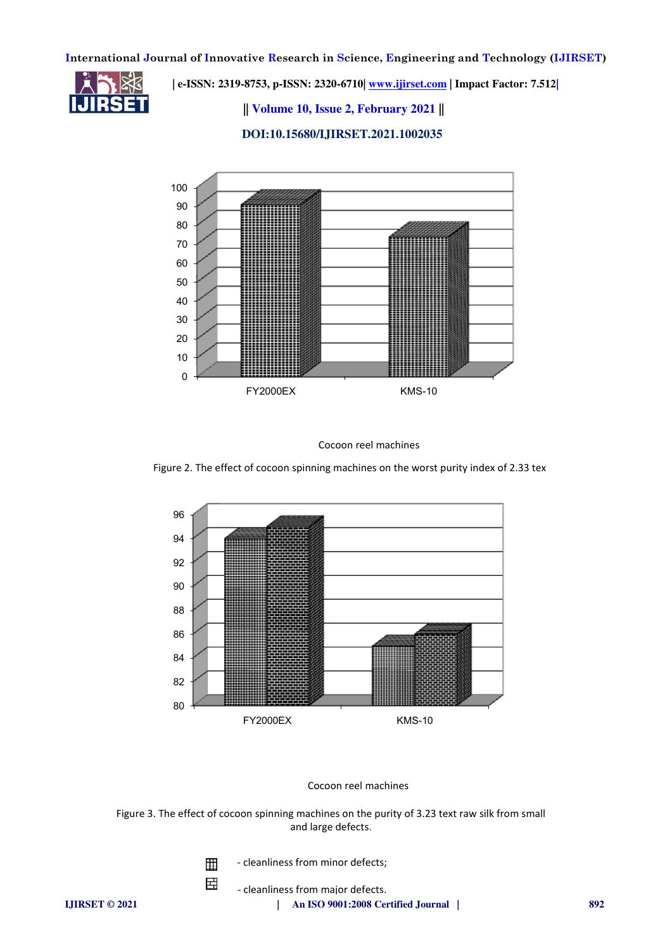

 **| e-ISSN: 2319-8753, p-ISSN: 2320-6710[| www.ijirset.com](http://www.ijirset.com/) | Impact Factor: 7.512|**

 **|| Volume 10, Issue 2, February 2021 ||**

 **DOI:10.15680/IJIRSET.2021.1002035**



Cocoon reel machines

Figure 2. The effect of cocoon spinning machines on the worst purity index of 2.33 tex



Cocoon reel machines

Figure 3. The effect of cocoon spinning machines on the purity of 3.23 text raw silk from small and large defects.

> - cleanliness from minor defects; 囲

> > - cleanliness from major defects.

嵒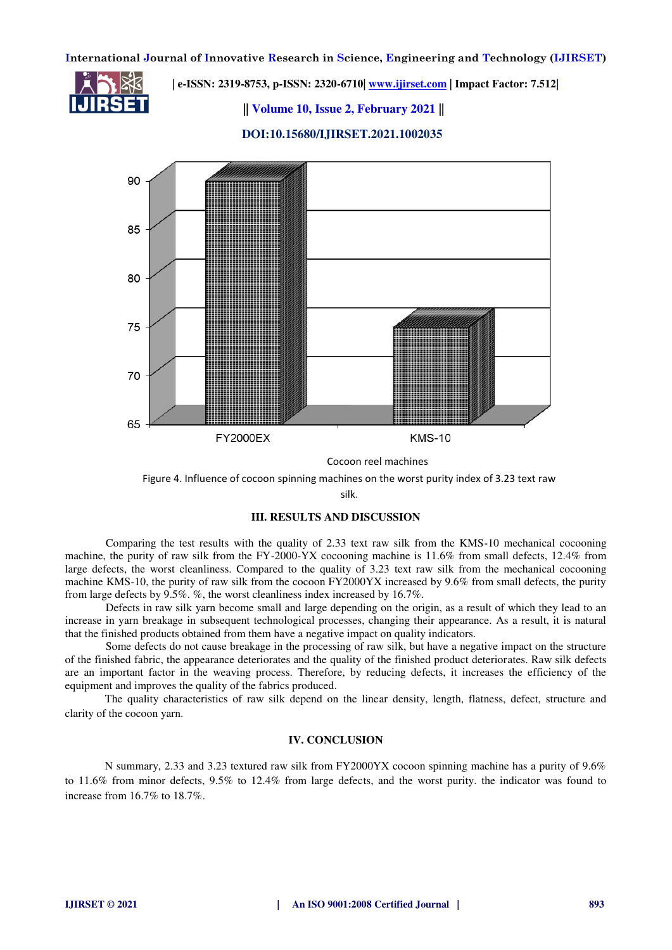

 **| e-ISSN: 2319-8753, p-ISSN: 2320-6710[| www.ijirset.com](http://www.ijirset.com/) | Impact Factor: 7.512|**

 **|| Volume 10, Issue 2, February 2021 ||**



 **DOI:10.15680/IJIRSET.2021.1002035**

silk.

#### **III. RESULTS AND DISCUSSION**

Comparing the test results with the quality of 2.33 text raw silk from the KMS-10 mechanical cocooning machine, the purity of raw silk from the FY-2000-YX cocooning machine is 11.6% from small defects, 12.4% from large defects, the worst cleanliness. Compared to the quality of 3.23 text raw silk from the mechanical cocooning machine KMS-10, the purity of raw silk from the cocoon FY2000YX increased by 9.6% from small defects, the purity from large defects by 9.5%. %, the worst cleanliness index increased by 16.7%.

Defects in raw silk yarn become small and large depending on the origin, as a result of which they lead to an increase in yarn breakage in subsequent technological processes, changing their appearance. As a result, it is natural that the finished products obtained from them have a negative impact on quality indicators.

Some defects do not cause breakage in the processing of raw silk, but have a negative impact on the structure of the finished fabric, the appearance deteriorates and the quality of the finished product deteriorates. Raw silk defects are an important factor in the weaving process. Therefore, by reducing defects, it increases the efficiency of the equipment and improves the quality of the fabrics produced.

The quality characteristics of raw silk depend on the linear density, length, flatness, defect, structure and clarity of the cocoon yarn.

### **IV. CONCLUSION**

N summary, 2.33 and 3.23 textured raw silk from FY2000YX cocoon spinning machine has a purity of 9.6% to 11.6% from minor defects, 9.5% to 12.4% from large defects, and the worst purity. the indicator was found to increase from 16.7% to 18.7%.

Figure 4. Influence of cocoon spinning machines on the worst purity index of 3.23 text raw